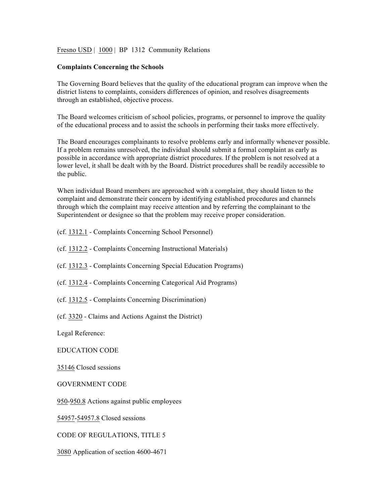## Fresno USD | 1000 | BP 1312 Community Relations

## **Complaints Concerning the Schools**

The Governing Board believes that the quality of the educational program can improve when the district listens to complaints, considers differences of opinion, and resolves disagreements through an established, objective process.

The Board welcomes criticism of school policies, programs, or personnel to improve the quality of the educational process and to assist the schools in performing their tasks more effectively.

The Board encourages complainants to resolve problems early and informally whenever possible. If a problem remains unresolved, the individual should submit a formal complaint as early as possible in accordance with appropriate district procedures. If the problem is not resolved at a lower level, it shall be dealt with by the Board. District procedures shall be readily accessible to the public.

When individual Board members are approached with a complaint, they should listen to the complaint and demonstrate their concern by identifying established procedures and channels through which the complaint may receive attention and by referring the complainant to the Superintendent or designee so that the problem may receive proper consideration.

- (cf. 1312.1 Complaints Concerning School Personnel)
- (cf. 1312.2 Complaints Concerning Instructional Materials)
- (cf. 1312.3 Complaints Concerning Special Education Programs)
- (cf. 1312.4 Complaints Concerning Categorical Aid Programs)
- (cf. 1312.5 Complaints Concerning Discrimination)
- (cf. 3320 Claims and Actions Against the District)

Legal Reference:

EDUCATION CODE

35146 Closed sessions

GOVERNMENT CODE

950-950.8 Actions against public employees

54957-54957.8 Closed sessions

CODE OF REGULATIONS, TITLE 5

3080 Application of section 4600-4671